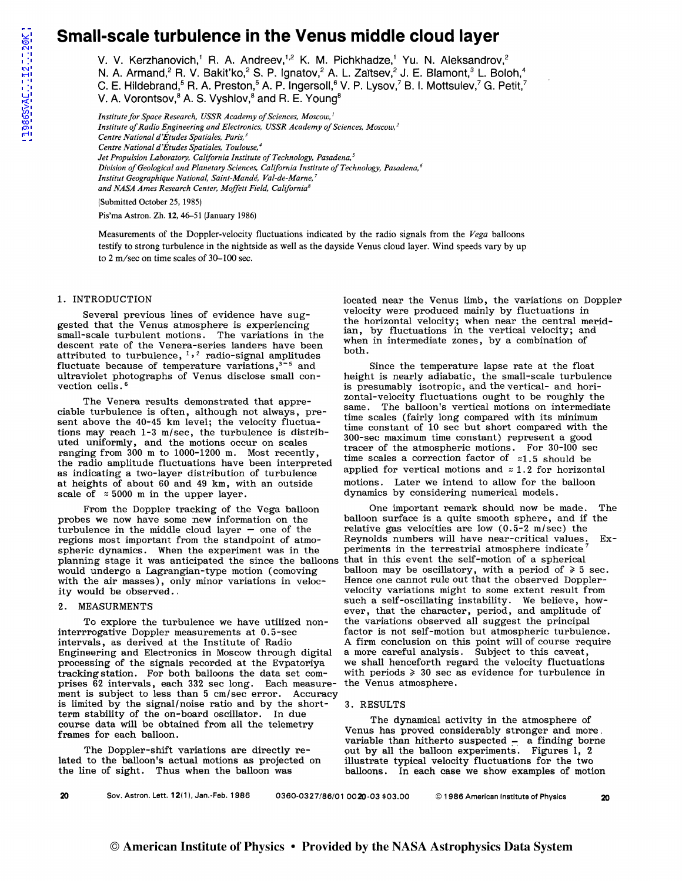# **Small-scale turbulence in the Venus middle cloud layer**

V. V. Kerzhanovich,' R. A. Andreev,'<sup>,2</sup> K. M. Pichkhadze,' Yu. N. Aleksandrov,<sup>2</sup>

N. A. Armand,<sup>2</sup> R. V. Bakit'ko,<sup>2</sup> S. P. Ignatov,<sup>2</sup> A. L. Zaĭtsev,<sup>2</sup> J. E. Blamont,<sup>3</sup> L. Boloh,<sup>4</sup>

C. E. Hildebrand,<sup>5</sup> R. A. Preston,<sup>5</sup> A. P. Ingersoll,<sup>6</sup> V. P. Lysov,<sup>7</sup> B. I. Mottsulev,<sup>7</sup> G. Petit,<sup>7</sup>

V. A. Vorontsov,<sup>8</sup> A. S. Vyshlov,<sup>8</sup> and R. E. Young<sup>8</sup>

*Institute for Space Research, USSR Academy of Sciences, Moscow,* <sup>1</sup> *Institute of Radio Engineering and Electronics, USSR Academy of Sciences, Moscow, 2 Centre National d'Etudes Spatio/es, Paris, 3 Centre National d'Etudes Spatiales, Toulouse, 4 Jet Propulsion Laboratory, California Institute of Technology, Pasadena, 5 Division of Geological and Planetary Sciences, California Institute of Technology, Pasadena, 6 Institut Geographique National, Saint-Mande, Val-de-Marne, 7 and NASA Ames Research Center, Moffett Field, California8*  (Submitted October 25, 1985)

Pis'ma Astron. Zh. 12, 46-51 (January 1986)

Measurements of the Doppler-velocity fluctuations indicated by the radio signals from the *Vega* balloons testify to strong turbulence in the nightside as well as the dayside Venus cloud layer. Wind speeds vary by up to 2 m/sec on time scales of 30-100 sec.

#### 1. INTRODUCTION

Several previous lines of evidence have suggested that the Venus atmosphere is experiencing small-scale turbulent motions. The variations in the descent rate of the Venera-series landers have been attributed to turbulence,  $\frac{1}{2}$  radio-signal amplitudes fluctuate because of temperature variations,<sup>3-5</sup> and Since the temperature lapse rate at the float ultraviolet photographs of Venus disclose small con-<br>
height is nearly adiabatic, the small-scale turbule

ciable turbulence is often, although not always, pre-<br>ciable turbulence is often, although not always, pre-<br>same. The balloon's vertical motions on intermediate<br>scales (fairly long compared with its minimum sent above the 40-45 km level; the velocity fluctuasent above the 40-43 km level; the velocity fuctua-<br>tions may reach 1-3 m/sec, the turbulence is distrib-<br> $\frac{300\text{-sec maximum time constant}}{300\text{-sec maximum time constant}}$  peresent a good uted uniformly, and the motions occur on scales ranging from 300 m to 1000-1200 m. Most recently, tracer of the atmospheric motions. For 30-100 sec<br>the maging from 300 m to 1000-1200 m. Most recently, time scales a correction factor of  $z_1$ , 5 should be the radio amplitude fluctuations have been interpreted time scales a correction factor of  $z_1$ , 5 should be<br>applied for vertical motions and  $z_1$ . 1.2 for horizontal as indicating a two-layer distribution of turbulence applied for vertical motions and  $z$  1.2 for horizont at heights of about 60 and 49 km, with an outside motions. Later we intend to allow for the balloon at heights of about 60 and 49 km, with an outside scale of  $\approx 5000$  m in the upper layer.

probes we now have some new information on the balloon surface is a quite smooth sphere, and if the turbulence in the middle cloud laver – one of the relative gas velocities are low  $(0.5-2 \text{ m/sec})$  the turbulence in the middle cloud layer  $-$  one of the regions most important from the standpoint of atmo-<br>spheric dynamics. When the experiment was in the speriments in the terrestrial atmosphere indicate<sup>7</sup> spheric dynamics. When the experiment was in the periments in the terrestrial atmosphere indicate<br>planning stage it was anticipated the since the balloons that in this event the self-motion of a spherical planning stage it was anticipated the since the balloons would undergo a Lagrangian-type motion (comoving with the air masses), only minor variations in veloc-<br>ity would be observed.

interrrogative Doppler measurements at 0.5-sec<br>intervals, as derived at the Institute of Radio A firm conclusion on this point will of course require Engineering and Electronics in Moscow through digital processing of the signals recorded at the Evpatoriya we shall henceforth regard the velocity fluctuations tracking station. For both balloons the data set com- with periods  $\geq 30$  sec as evidence for turbulence in tracking station. For both balloons the data set com- with periods  $\geq 30$  sec as prises 62 intervals, each 332 sec long. Each measure- the Venus atmosphere. prises 62 intervals, each 332 sec long. Each measurement is subject to less than 5 cm/sec error. Accuracy is limited by the signal/noise ratio and by the shortterm stability of the on-board oscillator. In due course data will be obtained from all the telemetry frames for each balloon.

The Doppler-shift variations are directly related to the balloon's actual motions as projected on the line of sight. Thus when the balloon was

located near the Venus limb, the variations on Doppler velocity were produced mainly by fluctuations in the horizontal velocity; when near the central meridian, by fluctuations in the vertical velocity; and when in intermediate zones, by a combination of both.

ultraviolet photographs of Venus disclose small con-<br>vection cells.<sup>6</sup><br>is presumably isotropic, and the vertical- and horiis presumably isotropic, and the vertical- and hori-The Venera results demonstrated that appre-<br>
zontal-velocity fluctuations ought to be roughly the<br>
zone The hells used particle waters as integrated. dynamics by considering numerical models.

From the Doppler tracking of the Vega balloon One important remark should now be made. The balloon may be oscillatory, with a period of  $\ge 5$  sec.<br>Hence one cannot rule out that the observed Dopplervelocity variations might to some extent result from 2. MEASURMENTS such a self-oscillating instability. We believe, how-ever, that the character, period, and amplitude of To explore the turbulence we have utilized non-<br>interpromed all suggest the principal<br>interprogative Doppler measurements at 0.5-sec<br>factor is not self-motion but atmospheric turbules A firm conclusion on this point will of course require<br>a more careful analysis. Subject to this caveat,

#### 3. RESULTS

The dynamical activity in the atmosphere of Venus has proved considerably stronger and more . variable than hitherto suspected  $-$  a finding borne out by all the balloon experiments. Figures 1, 2 illustrate typical velocity fluctuations for the two balloons. In each case we show examples of motion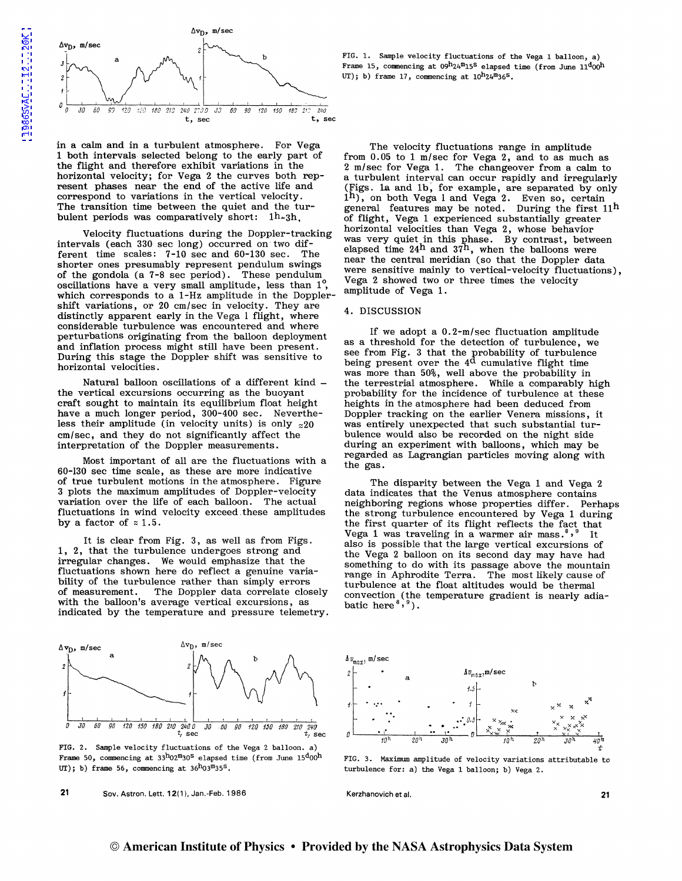

in a calm and in a turbulent atmosphere. For Vega 1 both intervals- selected belong to the early part of the flight and therefore exhibit variations in the horizontal velocity; for Vega 2 the curves both represent phases near the end of the active life and correspond to variations in the vertical velocity. The transition time between the quiet and the turbulent periods was comparatively short: lh-3h,

Velocity fluctuations during the Doppler-tracking intervals (each 330 sec long) occurred on- two different time scales:  $7-10$  sec and  $60-130$  sec. The shorter ones presumably represent pendulum swings of the gondola (a 7-8 sec period). These pendulum oscillations have a very small amplitude, less than  $1^{\circ}$ , which corresponds to a 1-Hz amplitude in the Dopplershift variations, or 20 cm/sec in velocity. They are distinctly apparent early in the Vega 1 flight, where considerable turbulence was encountered and where perturbations originating from the balloon deployment and inflation process might still have been present. During this stage the Doppler shift was sensitive to horizontal velocities.

Natural balloon oscillations of a different kind  $$ the vertical excursions occurring as the buoyant craft sought to maintain its equilibrium float height have a much longer period, 300-400 sec. Nevertheless their amplitude (in velocity units) is only  $z20$ cm/sec, and they do not significantly affect the interpretation of the Doppler measurements.

Most important of all are the fluctuations with a 60-130 sec time scale, as these are more indicative of true turbulent motions in the atmosphere. Figure 3 plots the maximum amplitudes of Doppler-velocity variation over the life of each balloon. The actual fluctuations in wind velocity exceed. these amplitudes by a factor of  $\approx 1.5$ .

It is clear from Fig. 3, as well as from Figs. 1, 2, that the turbulence undergoes strong and irregular changes. We would emphasize that the fluctuations shown here do reflect a genuine variability of the turbulence rather than simply errors of measurement. The Doppler data correlate clos of measurement. The Doppler data correlate closely with the balloon's average vertical excursions, as indicated by the temperature and pressure telemetry.



FIG. 2. Sample velocity fluctuations of the Vega 2 balloon. a) Frame 50, commencing at  $3^{h}02^{m}30^{s}$  elapsed time (from June  $15^{d}00^{h}$ UT); b) frame 56, commencing at  $36^{h}03^{m}35^{s}$ .

21 Sov. Astron. Lett. 12(1). Jan.-Feb. 1986

FIG. 1. Sample velocity fluctuations of the Vega 1 balloon, a) Frame 15, commencing at  $09^{h}24^{m}15^{s}$  elapsed time (from June  $11^{d}00^{h}$ UT); b) frame 17, commencing at  $10^h24^m36^s$ .

The velocity fluctuations range in amplitude from 0.05 to 1 m/sec for Vega 2, and to as much as 2 m/sec for Vega 1. The changeover from a calm to a turbulent interval can occur rapidly and irregularly (Figs. la and 1b, for example, are separated by only  $1^{\rm h}$ , on both Vega 1 and Vega 2. Even so, certain general features may be noted. During the first  $11^{\text{h}}$ of flight, Vega 1 experienced substantially greater horizontal velocities than Vega 2, whose behavior was very quiet in this phase. By contrast, between elapsed time 24<sup>h</sup> and 37<sup>h</sup>, when the balloons were near the central meridian (so that the Doppler data were sensitive mainly to vertical-velocity fluctuations), Vega 2 showed two or three times the velocity amplitude of Vega 1.

### 4. DISCUSSION

If we adopt a 0. 2-m/sec fluctuation amplitude as a threshold for the detection of turbulence, we see from Fig. 3 that the probability of turbulence being present over the  $4<sup>d</sup>$  cumulative flight time was more than 50%, well above the probability in the terrestrial atmosphere. While a comparably high probability for the incidence of turbulence at these heights in the atmosphere had been deduced from Doppler tracking on the earlier Venera missions, it was entirely unexpected that such substantial turbulence would also be recorded on the night side during an experiment with balloons, which may be regarded as Lagrangian particles moving along with the gas.

The disparity between the Vega 1 and Vega 2 data indicates that the Venus atmosphere contains neighboring regions whose properties differ. Perhaps the strong turbulence encountered by Vega 1 during the first quarter of its flight reflects the fact that Vega 1 was traveling in a warmer air mass.<sup>8,9</sup> It also is possible that the large vertical excursions of the Vega 2 balloon on its second day may have had something to do with its passage above the mountain range in Aphrodite Terra. The most likely cause of turbulence at the float altitudes would be thermal convection (the temperature gradient is nearly adiabatic here  ${}^{8}$ ,  ${}^{9}$ ).



FIG. 3. Maximum amplitude of velocity variations attributable to turbulence for: a) the Vega 1 balloon; b) Vega 2.

Kerzhanovich et al. 21